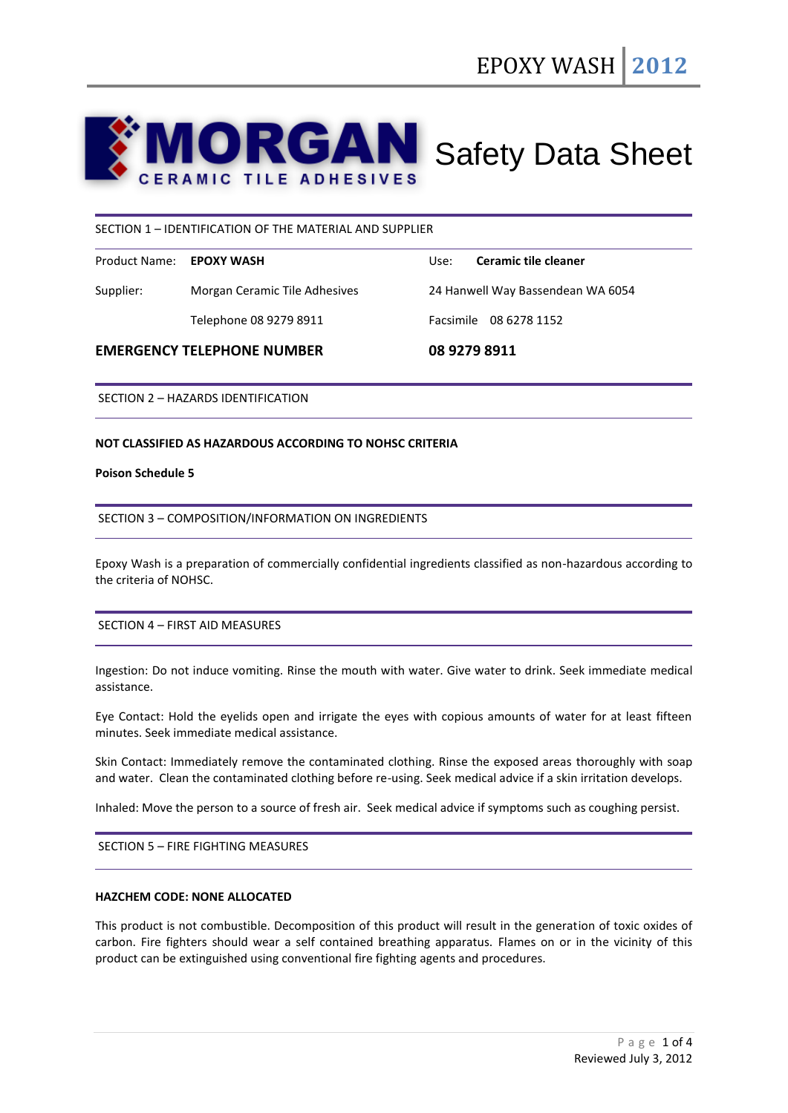# **ORGAN** Safety Data Sheet **ERAMIC TILE ADHESIVES**

## SECTION 1 – IDENTIFICATION OF THE MATERIAL AND SUPPLIER

| Product Name: <b>EPOXY WASH</b> |                               | Use:                              | Ceramic tile cleaner   |
|---------------------------------|-------------------------------|-----------------------------------|------------------------|
| Supplier:                       | Morgan Ceramic Tile Adhesives | 24 Hanwell Way Bassendean WA 6054 |                        |
|                                 | Telephone 08 9279 8911        |                                   | Facsimile 08 6278 1152 |

#### **EMERGENCY TELEPHONE NUMBER 08 9279 8911**

SECTION 2 – HAZARDS IDENTIFICATION

#### **NOT CLASSIFIED AS HAZARDOUS ACCORDING TO NOHSC CRITERIA**

#### **Poison Schedule 5**

## SECTION 3 – COMPOSITION/INFORMATION ON INGREDIENTS

Epoxy Wash is a preparation of commercially confidential ingredients classified as non-hazardous according to the criteria of NOHSC.

## SECTION 4 – FIRST AID MEASURES

Ingestion: Do not induce vomiting. Rinse the mouth with water. Give water to drink. Seek immediate medical assistance.

Eye Contact: Hold the eyelids open and irrigate the eyes with copious amounts of water for at least fifteen minutes. Seek immediate medical assistance.

Skin Contact: Immediately remove the contaminated clothing. Rinse the exposed areas thoroughly with soap and water. Clean the contaminated clothing before re-using. Seek medical advice if a skin irritation develops.

Inhaled: Move the person to a source of fresh air. Seek medical advice if symptoms such as coughing persist.

SECTION 5 – FIRE FIGHTING MEASURES

# **HAZCHEM CODE: NONE ALLOCATED**

This product is not combustible. Decomposition of this product will result in the generation of toxic oxides of carbon. Fire fighters should wear a self contained breathing apparatus. Flames on or in the vicinity of this product can be extinguished using conventional fire fighting agents and procedures.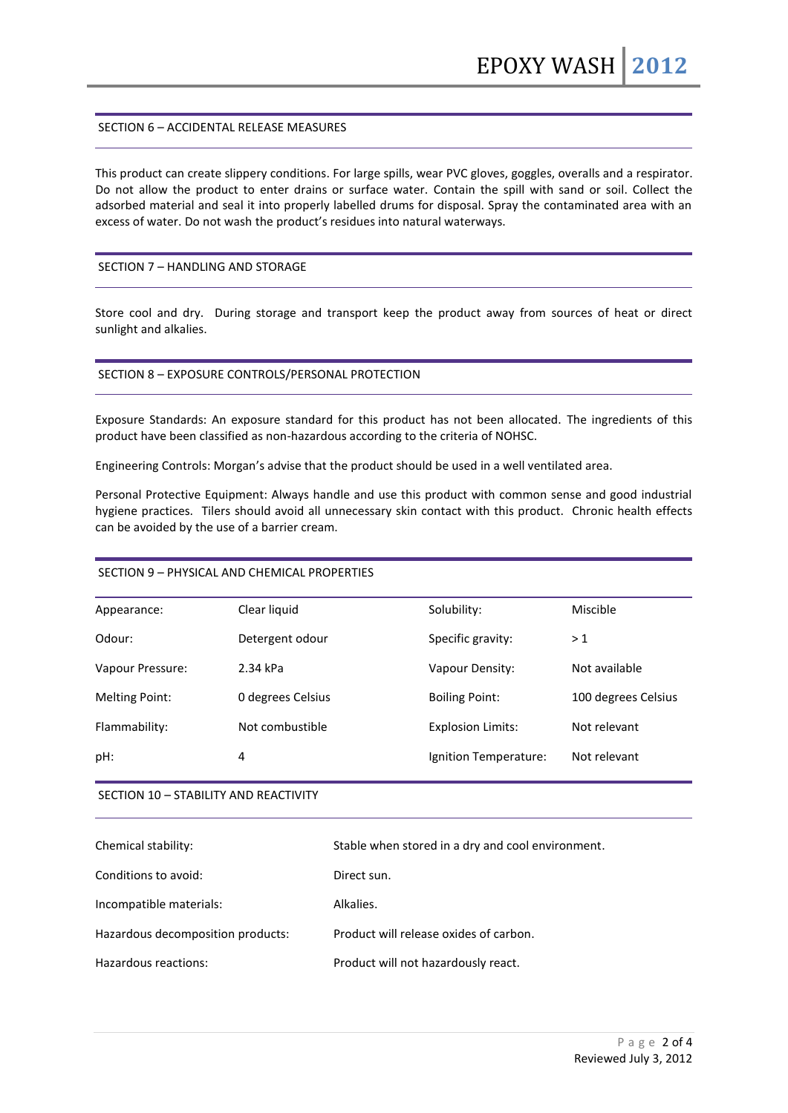## SECTION 6 – ACCIDENTAL RELEASE MEASURES

This product can create slippery conditions. For large spills, wear PVC gloves, goggles, overalls and a respirator. Do not allow the product to enter drains or surface water. Contain the spill with sand or soil. Collect the adsorbed material and seal it into properly labelled drums for disposal. Spray the contaminated area with an excess of water. Do not wash the product's residues into natural waterways.

#### SECTION 7 – HANDLING AND STORAGE

Store cool and dry. During storage and transport keep the product away from sources of heat or direct sunlight and alkalies.

#### SECTION 8 – EXPOSURE CONTROLS/PERSONAL PROTECTION

Exposure Standards: An exposure standard for this product has not been allocated. The ingredients of this product have been classified as non-hazardous according to the criteria of NOHSC.

Engineering Controls: Morgan's advise that the product should be used in a well ventilated area.

Personal Protective Equipment: Always handle and use this product with common sense and good industrial hygiene practices. Tilers should avoid all unnecessary skin contact with this product. Chronic health effects can be avoided by the use of a barrier cream.

# SECTION 9 – PHYSICAL AND CHEMICAL PROPERTIES

| Appearance:           | Clear liquid      | Solubility:              | Miscible            |
|-----------------------|-------------------|--------------------------|---------------------|
| Odour:                | Detergent odour   | Specific gravity:        | >1                  |
| Vapour Pressure:      | 2.34 kPa          | Vapour Density:          | Not available       |
| <b>Melting Point:</b> | 0 degrees Celsius | <b>Boiling Point:</b>    | 100 degrees Celsius |
| Flammability:         | Not combustible   | <b>Explosion Limits:</b> | Not relevant        |
| pH:                   | 4                 | Ignition Temperature:    | Not relevant        |
|                       |                   |                          |                     |

#### SECTION 10 – STABILITY AND REACTIVITY

| Chemical stability:               | Stable when stored in a dry and cool environment. |
|-----------------------------------|---------------------------------------------------|
| Conditions to avoid:              | Direct sun.                                       |
| Incompatible materials:           | Alkalies.                                         |
| Hazardous decomposition products: | Product will release oxides of carbon.            |
| Hazardous reactions:              | Product will not hazardously react.               |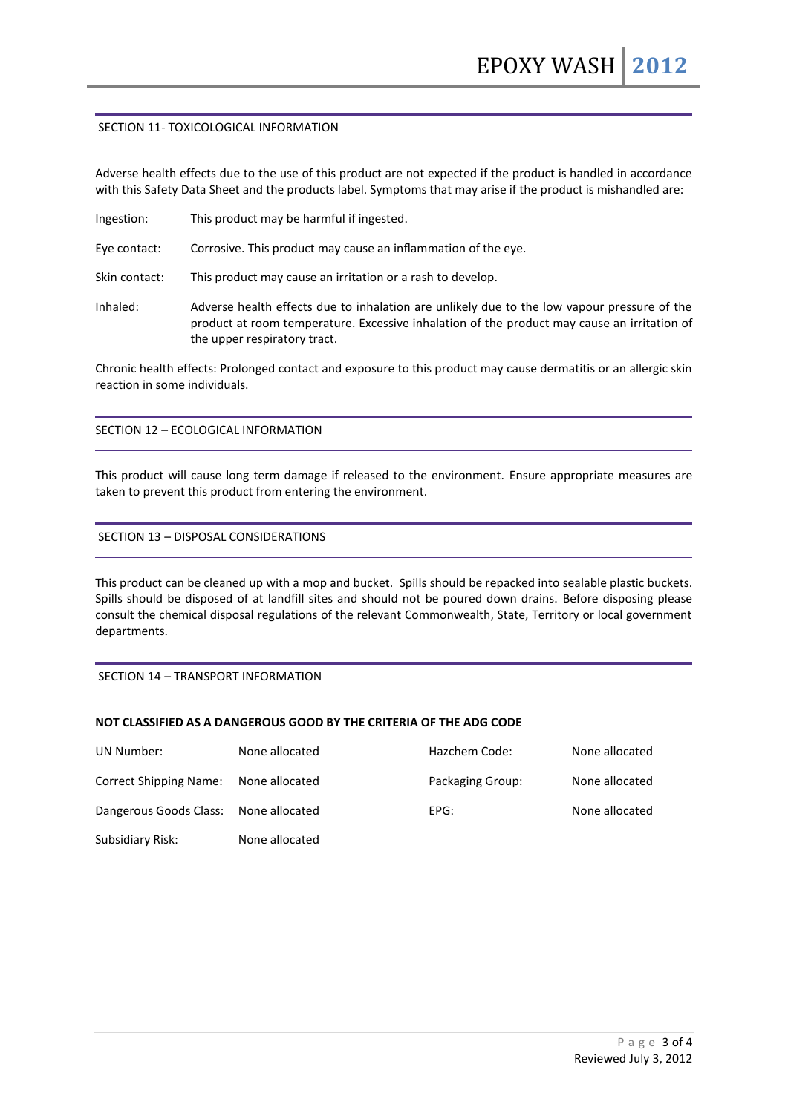## SECTION 11- TOXICOLOGICAL INFORMATION

Adverse health effects due to the use of this product are not expected if the product is handled in accordance with this Safety Data Sheet and the products label. Symptoms that may arise if the product is mishandled are:

Ingestion: This product may be harmful if ingested.

Eye contact: Corrosive. This product may cause an inflammation of the eye.

Skin contact: This product may cause an irritation or a rash to develop.

Inhaled: Adverse health effects due to inhalation are unlikely due to the low vapour pressure of the product at room temperature. Excessive inhalation of the product may cause an irritation of the upper respiratory tract.

Chronic health effects: Prolonged contact and exposure to this product may cause dermatitis or an allergic skin reaction in some individuals.

# SECTION 12 – ECOLOGICAL INFORMATION

This product will cause long term damage if released to the environment. Ensure appropriate measures are taken to prevent this product from entering the environment.

#### SECTION 13 – DISPOSAL CONSIDERATIONS

This product can be cleaned up with a mop and bucket. Spills should be repacked into sealable plastic buckets. Spills should be disposed of at landfill sites and should not be poured down drains. Before disposing please consult the chemical disposal regulations of the relevant Commonwealth, State, Territory or local government departments.

#### SECTION 14 – TRANSPORT INFORMATION

#### **NOT CLASSIFIED AS A DANGEROUS GOOD BY THE CRITERIA OF THE ADG CODE**

| UN Number:                            | None allocated | Hazchem Code:    | None allocated |
|---------------------------------------|----------------|------------------|----------------|
| <b>Correct Shipping Name:</b>         | None allocated | Packaging Group: | None allocated |
| Dangerous Goods Class: None allocated |                | EPG:             | None allocated |
| Subsidiary Risk:                      | None allocated |                  |                |